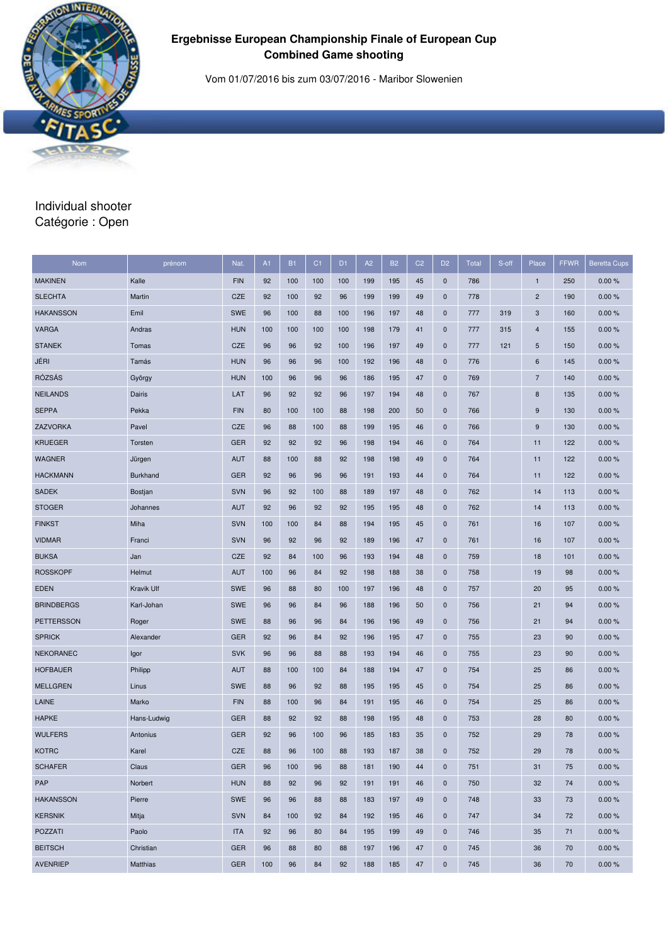

## **Ergebnisse European Championship Finale of European Cup Combined Game shooting**

Vom 01/07/2016 bis zum 03/07/2016 - Maribor Slowenien

## Individual shooter Catégorie : Open

| <b>Nom</b>        | prénom          | Nat.       | A1  | <b>B1</b> | C <sub>1</sub> | D <sub>1</sub> | A2  | <b>B2</b> | C <sub>2</sub> | D <sub>2</sub> | <b>Total</b> | S-off | Place            | <b>FFWR</b> | <b>Beretta Cups</b> |
|-------------------|-----------------|------------|-----|-----------|----------------|----------------|-----|-----------|----------------|----------------|--------------|-------|------------------|-------------|---------------------|
| <b>MAKINEN</b>    | Kalle           | <b>FIN</b> | 92  | 100       | 100            | 100            | 199 | 195       | 45             | $\mathbf 0$    | 786          |       | $\mathbf{1}$     | 250         | 0.00%               |
| <b>SLECHTA</b>    | Martin          | <b>CZE</b> | 92  | 100       | 92             | 96             | 199 | 199       | 49             | $\mathbf 0$    | 778          |       | $\overline{2}$   | 190         | 0.00%               |
| <b>HAKANSSON</b>  | Emil            | <b>SWE</b> | 96  | 100       | 88             | 100            | 196 | 197       | 48             | $\mathbf 0$    | 777          | 319   | 3                | 160         | 0.00%               |
| <b>VARGA</b>      | Andras          | <b>HUN</b> | 100 | 100       | 100            | 100            | 198 | 179       | 41             | $\mathbf 0$    | 777          | 315   | $\overline{4}$   | 155         | 0.00%               |
| <b>STANEK</b>     | Tomas           | CZE        | 96  | 96        | 92             | 100            | 196 | 197       | 49             | $\mathbf 0$    | 777          | 121   | 5                | 150         | 0.00%               |
| JÉRI              | Tamás           | <b>HUN</b> | 96  | 96        | 96             | 100            | 192 | 196       | 48             | $\mathbf 0$    | 776          |       | 6                | 145         | 0.00%               |
| <b>RÓZSÁS</b>     | György          | <b>HUN</b> | 100 | 96        | 96             | 96             | 186 | 195       | 47             | $\mathbf 0$    | 769          |       | $\overline{7}$   | 140         | 0.00%               |
| <b>NEILANDS</b>   | Dairis          | LAT        | 96  | 92        | 92             | 96             | 197 | 194       | 48             | $\mathbf 0$    | 767          |       | 8                | 135         | 0.00%               |
| <b>SEPPA</b>      | Pekka           | <b>FIN</b> | 80  | 100       | 100            | 88             | 198 | 200       | 50             | $\mathbf 0$    | 766          |       | $\boldsymbol{9}$ | 130         | 0.00%               |
| ZAZVORKA          | Pavel           | <b>CZE</b> | 96  | 88        | 100            | 88             | 199 | 195       | 46             | $\mathbf 0$    | 766          |       | 9                | 130         | 0.00%               |
| <b>KRUEGER</b>    | Torsten         | <b>GER</b> | 92  | 92        | 92             | 96             | 198 | 194       | 46             | $\pmb{0}$      | 764          |       | 11               | 122         | 0.00%               |
| <b>WAGNER</b>     | Jürgen          | <b>AUT</b> | 88  | 100       | 88             | 92             | 198 | 198       | 49             | $\mathbf 0$    | 764          |       | 11               | 122         | 0.00%               |
| <b>HACKMANN</b>   | <b>Burkhand</b> | <b>GER</b> | 92  | 96        | 96             | 96             | 191 | 193       | 44             | $\mathbf 0$    | 764          |       | 11               | 122         | 0.00%               |
| <b>SADEK</b>      | Bostjan         | <b>SVN</b> | 96  | 92        | 100            | 88             | 189 | 197       | 48             | $\mathbf 0$    | 762          |       | 14               | 113         | 0.00%               |
| <b>STOGER</b>     | Johannes        | <b>AUT</b> | 92  | 96        | 92             | 92             | 195 | 195       | 48             | $\mathbf 0$    | 762          |       | 14               | 113         | 0.00%               |
| <b>FINKST</b>     | Miha            | <b>SVN</b> | 100 | 100       | 84             | 88             | 194 | 195       | 45             | $\mathbf 0$    | 761          |       | 16               | 107         | 0.00%               |
| <b>VIDMAR</b>     | Franci          | <b>SVN</b> | 96  | 92        | 96             | 92             | 189 | 196       | 47             | $\mathbf 0$    | 761          |       | 16               | 107         | 0.00%               |
| <b>BUKSA</b>      | Jan             | <b>CZE</b> | 92  | 84        | 100            | 96             | 193 | 194       | 48             | $\mathbf 0$    | 759          |       | 18               | 101         | 0.00%               |
| <b>ROSSKOPF</b>   | Helmut          | <b>AUT</b> | 100 | 96        | 84             | 92             | 198 | 188       | 38             | $\mathbf 0$    | 758          |       | 19               | 98          | 0.00%               |
| <b>EDEN</b>       | Kravik Ulf      | <b>SWE</b> | 96  | 88        | 80             | 100            | 197 | 196       | 48             | $\mathbf 0$    | 757          |       | 20               | 95          | 0.00%               |
| <b>BRINDBERGS</b> | Karl-Johan      | <b>SWE</b> | 96  | 96        | 84             | 96             | 188 | 196       | 50             | $\mathbf 0$    | 756          |       | 21               | 94          | 0.00%               |
| <b>PETTERSSON</b> | Roger           | <b>SWE</b> | 88  | 96        | 96             | 84             | 196 | 196       | 49             | $\pmb{0}$      | 756          |       | 21               | 94          | 0.00%               |
| <b>SPRICK</b>     | Alexander       | <b>GER</b> | 92  | 96        | 84             | 92             | 196 | 195       | 47             | $\mathbf 0$    | 755          |       | 23               | 90          | 0.00%               |
| <b>NEKORANEC</b>  | Igor            | <b>SVK</b> | 96  | 96        | 88             | 88             | 193 | 194       | 46             | $\mathbf 0$    | 755          |       | 23               | 90          | 0.00%               |
| <b>HOFBAUER</b>   | Philipp         | <b>AUT</b> | 88  | 100       | 100            | 84             | 188 | 194       | 47             | $\mathbf 0$    | 754          |       | 25               | 86          | 0.00%               |
| <b>MELLGREN</b>   | Linus           | <b>SWE</b> | 88  | 96        | 92             | 88             | 195 | 195       | 45             | $\mathbf 0$    | 754          |       | 25               | 86          | 0.00%               |
| LAINE             | Marko           | <b>FIN</b> | 88  | 100       | 96             | 84             | 191 | 195       | 46             | $\mathbf 0$    | 754          |       | 25               | 86          | 0.00%               |
| <b>HAPKE</b>      | Hans-Ludwig     | <b>GER</b> | 88  | 92        | 92             | 88             | 198 | 195       | 48             | $\mathbf 0$    | 753          |       | 28               | 80          | 0.00%               |
| <b>WULFERS</b>    | Antonius        | <b>GER</b> | 92  | 96        | 100            | 96             | 185 | 183       | 35             | $\mathbf 0$    | 752          |       | 29               | 78          | 0.00%               |
| <b>KOTRC</b>      | Karel           | <b>CZE</b> | 88  | 96        | 100            | 88             | 193 | 187       | 38             | $\mathbf{0}$   | 752          |       | 29               | 78          | 0.00%               |
| <b>SCHAFER</b>    | Claus           | <b>GER</b> | 96  | 100       | 96             | 88             | 181 | 190       | 44             | $\mathbf 0$    | 751          |       | 31               | 75          | 0.00%               |
| PAP               | Norbert         | <b>HUN</b> | 88  | 92        | 96             | 92             | 191 | 191       | 46             | $\pmb{0}$      | 750          |       | 32               | 74          | 0.00%               |
| <b>HAKANSSON</b>  | Pierre          | SWE        | 96  | 96        | 88             | 88             | 183 | 197       | 49             | $\mathbf 0$    | 748          |       | 33               | 73          | 0.00%               |
| <b>KERSNIK</b>    | Mitja           | <b>SVN</b> | 84  | 100       | 92             | 84             | 192 | 195       | 46             | $\mathbf 0$    | 747          |       | 34               | 72          | 0.00%               |
| <b>POZZATI</b>    | Paolo           | <b>ITA</b> | 92  | 96        | 80             | 84             | 195 | 199       | 49             | $\mathbf 0$    | 746          |       | 35               | 71          | 0.00%               |
| <b>BEITSCH</b>    | Christian       | <b>GER</b> | 96  | 88        | 80             | 88             | 197 | 196       | 47             | $\mathbf 0$    | 745          |       | 36               | 70          | 0.00%               |
| <b>AVENRIEP</b>   | Matthias        | <b>GER</b> | 100 | 96        | 84             | 92             | 188 | 185       | 47             | $\mathbf 0$    | 745          |       | 36               | 70          | 0.00%               |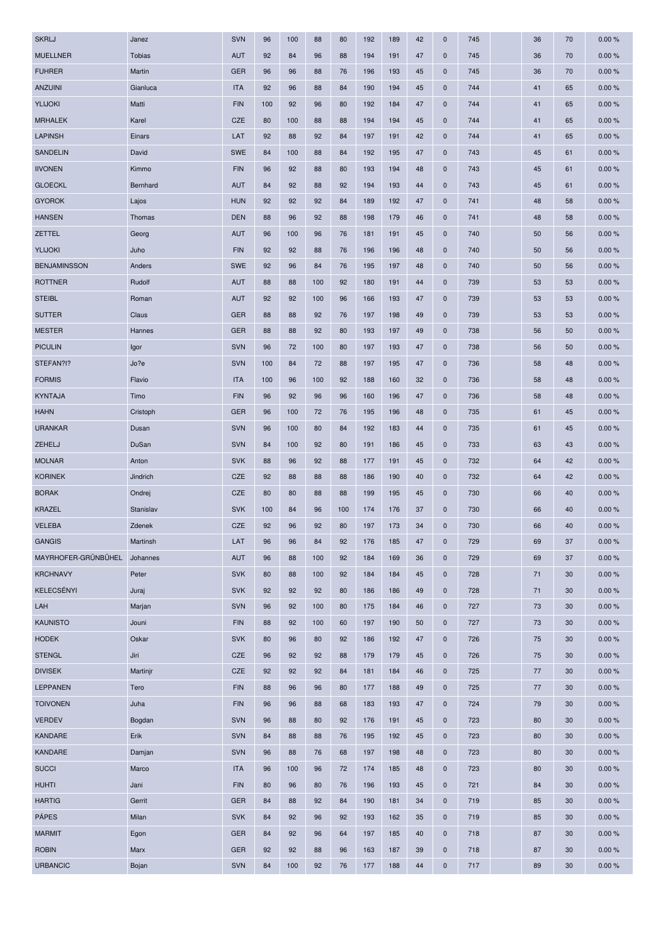| <b>SKRLJ</b>                  | Janez         | <b>SVN</b> | 96       | 100      | 88  | 80  | 192 | 189        | 42       | $\mathbf 0$                | 745 | 36       | 70       | 0.00% |
|-------------------------------|---------------|------------|----------|----------|-----|-----|-----|------------|----------|----------------------------|-----|----------|----------|-------|
| <b>MUELLNER</b>               | <b>Tobias</b> | <b>AUT</b> | 92       | 84       | 96  | 88  | 194 | 191        | 47       | $\mathbf 0$                | 745 | 36       | 70       | 0.00% |
| <b>FUHRER</b>                 | Martin        | <b>GER</b> | 96       | 96       | 88  | 76  | 196 | 193        | 45       | $\mathbf 0$                | 745 | 36       | 70       | 0.00% |
| <b>ANZUINI</b>                | Gianluca      | <b>ITA</b> | 92       | 96       | 88  | 84  | 190 | 194        | 45       | $\mathbf 0$                | 744 | 41       | 65       | 0.00% |
| YLIJOKI                       | Matti         | <b>FIN</b> | 100      | 92       | 96  | 80  | 192 | 184        | 47       | $\mathbf 0$                | 744 | 41       | 65       | 0.00% |
| <b>MRHALEK</b>                | Karel         | <b>CZE</b> | 80       | 100      | 88  | 88  | 194 | 194        | 45       | $\mathbf 0$                | 744 | 41       | 65       | 0.00% |
| <b>LAPINSH</b>                | Einars        | LAT        | 92       | 88       | 92  | 84  | 197 | 191        | 42       | $\mathbf 0$                | 744 | 41       | 65       | 0.00% |
| <b>SANDELIN</b>               | David         | <b>SWE</b> | 84       | 100      | 88  | 84  | 192 | 195        | 47       | $\mathbf 0$                | 743 | 45       | 61       | 0.00% |
| <b>IIVONEN</b>                | Kimmo         | <b>FIN</b> | 96       | 92       | 88  | 80  | 193 | 194        | 48       | $\mathbf 0$                | 743 | 45       | 61       | 0.00% |
| <b>GLOECKL</b>                | Bernhard      | <b>AUT</b> | 84       | 92       | 88  | 92  | 194 | 193        | 44       | $\mathbf 0$                | 743 | 45       | 61       | 0.00% |
| <b>GYOROK</b>                 | Lajos         | <b>HUN</b> | 92       | 92       | 92  | 84  | 189 | 192        | 47       | $\mathbf 0$                | 741 | 48       | 58       | 0.00% |
| <b>HANSEN</b>                 | Thomas        | <b>DEN</b> | 88       | 96       | 92  | 88  | 198 | 179        | 46       | $\mathbf 0$                | 741 | 48       | 58       | 0.00% |
| ZETTEL                        | Georg         | <b>AUT</b> | 96       | 100      | 96  | 76  | 181 | 191        | 45       | $\mathbf 0$                | 740 | 50       | 56       | 0.00% |
| YLIJOKI                       | Juho          | <b>FIN</b> | 92       | 92       | 88  | 76  | 196 | 196        | 48       | $\mathbf 0$                | 740 | 50       | 56       | 0.00% |
| <b>BENJAMINSSON</b>           | Anders        | <b>SWE</b> | 92       | 96       | 84  | 76  | 195 | 197        | 48       | $\mathbf 0$                | 740 | 50       | 56       | 0.00% |
| <b>ROTTNER</b>                | Rudolf        | <b>AUT</b> | 88       | 88       | 100 | 92  | 180 | 191        | 44       | $\mathbf 0$                | 739 | 53       | 53       | 0.00% |
| <b>STEIBL</b>                 | Roman         | <b>AUT</b> | 92       | 92       | 100 | 96  | 166 | 193        | 47       | $\mathbf 0$                | 739 | 53       | 53       | 0.00% |
| <b>SUTTER</b>                 | Claus         | <b>GER</b> | 88       | 88       | 92  | 76  | 197 | 198        | 49       | $\mathbf 0$                | 739 | 53       | 53       | 0.00% |
| <b>MESTER</b>                 | Hannes        | <b>GER</b> | 88       | 88       | 92  | 80  | 193 | 197        | 49       | $\mathbf 0$                | 738 | 56       | 50       | 0.00% |
| <b>PICULIN</b>                | Igor          | <b>SVN</b> | 96       | 72       | 100 | 80  | 197 | 193        | 47       | $\mathbf 0$                | 738 | 56       | 50       | 0.00% |
| STEFAN?I?                     | Jo?e          | <b>SVN</b> | 100      | 84       | 72  | 88  | 197 | 195        | 47       | $\mathbf 0$                | 736 | 58       | 48       | 0.00% |
| <b>FORMIS</b>                 | Flavio        | <b>ITA</b> | 100      | 96       | 100 | 92  | 188 | 160        | 32       | $\mathbf 0$                | 736 | 58       | 48       | 0.00% |
| <b>KYNTAJA</b>                | Timo          | <b>FIN</b> | 96       | 92       | 96  | 96  | 160 | 196        | 47       | $\mathbf 0$                | 736 | 58       | 48       | 0.00% |
| <b>HAHN</b>                   | Cristoph      | <b>GER</b> | 96       | 100      | 72  | 76  | 195 | 196        | 48       | $\mathbf 0$                | 735 | 61       | 45       | 0.00% |
| <b>URANKAR</b>                | Dusan         | <b>SVN</b> | 96       | 100      | 80  | 84  | 192 | 183        | 44       | $\mathbf 0$                | 735 | 61       | 45       | 0.00% |
| ZEHELJ                        | DuSan         | <b>SVN</b> | 84       | 100      | 92  | 80  | 191 | 186        | 45       | $\mathbf 0$                | 733 | 63       | 43       | 0.00% |
| <b>MOLNAR</b>                 | Anton         | <b>SVK</b> | 88       | 96       | 92  | 88  | 177 | 191        | 45       | $\mathbf 0$                | 732 | 64       | 42       | 0.00% |
| <b>KORINEK</b>                | Jindrich      | CZE        | 92       | 88       | 88  | 88  | 186 | 190        | 40       | $\mathbf 0$                | 732 | 64       | 42       | 0.00% |
| <b>BORAK</b>                  | Ondrej        | CZE        | 80       | 80       | 88  | 88  | 199 | 195        | 45       | $\mathbf 0$                | 730 | 66       | 40       | 0.00% |
| <b>KRAZEL</b>                 | Stanislav     | <b>SVK</b> | 100      | 84       | 96  | 100 | 174 | 176        | 37       | $\mathbf 0$                | 730 | 66       | 40       | 0.00% |
| <b>VELEBA</b>                 | Zdenek        | <b>CZE</b> | 92       | 96       | 92  | 80  | 197 | 173        | 34       | $\mathbf 0$                | 730 | 66       | 40       | 0.00% |
| <b>GANGIS</b>                 | Martinsh      | LAT        | 96       | 96       | 84  | 92  | 176 | 185        | 47       | $\mathbf 0$                | 729 | 69       | 37       | 0.00% |
| MAYRHOFER-GRÜNBÜHEL Johannes  |               | <b>AUT</b> | 96       | 88       | 100 | 92  | 184 | 169        | 36       | $\mathbf 0$                | 729 | 69       | 37       | 0.00% |
| <b>KRCHNAVY</b>               | Peter         | <b>SVK</b> | 80       | 88       | 100 | 92  | 184 | 184        | 45       | $\mathbf 0$                | 728 | 71       | 30       | 0.00% |
| KELECSÉNYI                    | Juraj         | <b>SVK</b> | 92       | 92       | 92  | 80  | 186 | 186        | 49       | $\mathbf 0$                | 728 | 71       | 30       | 0.00% |
| LAH                           | Marjan        | <b>SVN</b> | 96       | 92       | 100 | 80  | 175 | 184        | 46       | $\mathbf 0$                | 727 | 73       | 30       | 0.00% |
| <b>KAUNISTO</b>               | Jouni         | <b>FIN</b> | 88       | 92       | 100 | 60  | 197 | 190        | 50       | $\mathbf 0$                | 727 | 73       | 30       | 0.00% |
| <b>HODEK</b>                  | Oskar         | <b>SVK</b> | 80       | 96       | 80  | 92  | 186 | 192        | 47       | $\mathbf 0$                | 726 | 75       | 30       | 0.00% |
| <b>STENGL</b>                 | Jiri          | CZE        | 96       | 92       | 92  | 88  | 179 | 179        | 45       | $\mathbf 0$                | 726 | 75       | 30       | 0.00% |
| <b>DIVISEK</b>                | Martinjr      | CZE        | 92       | 92       | 92  | 84  | 181 | 184        | 46       | $\mathbf 0$                | 725 | 77       | 30       | 0.00% |
| <b>LEPPANEN</b>               | Tero          | <b>FIN</b> | 88       | 96       | 96  | 80  | 177 | 188        | 49       | $\mathbf 0$                | 725 | 77       | 30       | 0.00% |
| <b>TOIVONEN</b>               | Juha          | <b>FIN</b> | 96       | 96       | 88  | 68  | 183 | 193        | 47       | $\mathbf 0$                | 724 | 79       | 30       | 0.00% |
| <b>VERDEV</b>                 | Bogdan        | <b>SVN</b> | 96       | 88       | 80  | 92  | 176 | 191        | 45       | $\mathbf 0$                | 723 | 80       | 30       | 0.00% |
| <b>KANDARE</b>                | Erik          | <b>SVN</b> | 84       | 88       | 88  | 76  | 195 | 192        | 45       | $\mathbf 0$                | 723 | 80       | 30       | 0.00% |
| <b>KANDARE</b>                | Damjan        | <b>SVN</b> | 96       | 88       | 76  | 68  | 197 | 198        | 48       | $\mathbf 0$                | 723 | 80       | 30       | 0.00% |
| <b>SUCCI</b>                  | Marco         | <b>ITA</b> | 96       | 100      | 96  | 72  | 174 | 185        | 48       | $\mathbf 0$                | 723 | 80       | 30       | 0.00% |
| <b>HUHTI</b>                  | Jani          | <b>FIN</b> | 80       | 96       | 80  | 76  | 196 | 193        | 45       | $\mathbf 0$                | 721 | 84       | 30       | 0.00% |
|                               | Gerrit        | <b>GER</b> |          |          | 92  | 84  | 190 |            |          |                            | 719 |          |          | 0.00% |
| <b>HARTIG</b><br><b>PÁPES</b> | Milan         | <b>SVK</b> | 84<br>84 | 88       | 96  | 92  | 193 | 181<br>162 | 34       | $\mathbf 0$<br>$\mathbf 0$ | 719 | 85<br>85 | 30<br>30 | 0.00% |
| <b>MARMIT</b>                 |               | <b>GER</b> | 84       | 92<br>92 | 96  | 64  | 197 | 185        | 35<br>40 | $\mathbf 0$                | 718 | 87       | 30       | 0.00% |
|                               | Egon          |            | 92       |          |     |     |     |            |          |                            |     |          |          | 0.00% |
| <b>ROBIN</b>                  | Marx          | <b>GER</b> |          | 92       | 88  | 96  | 163 | 187        | 39       | $\mathbf 0$                | 718 | 87       | 30       |       |
| <b>URBANCIC</b>               | Bojan         | SVN        | 84       | 100      | 92  | 76  | 177 | 188        | 44       | $\mathbf 0$                | 717 | 89       | 30       | 0.00% |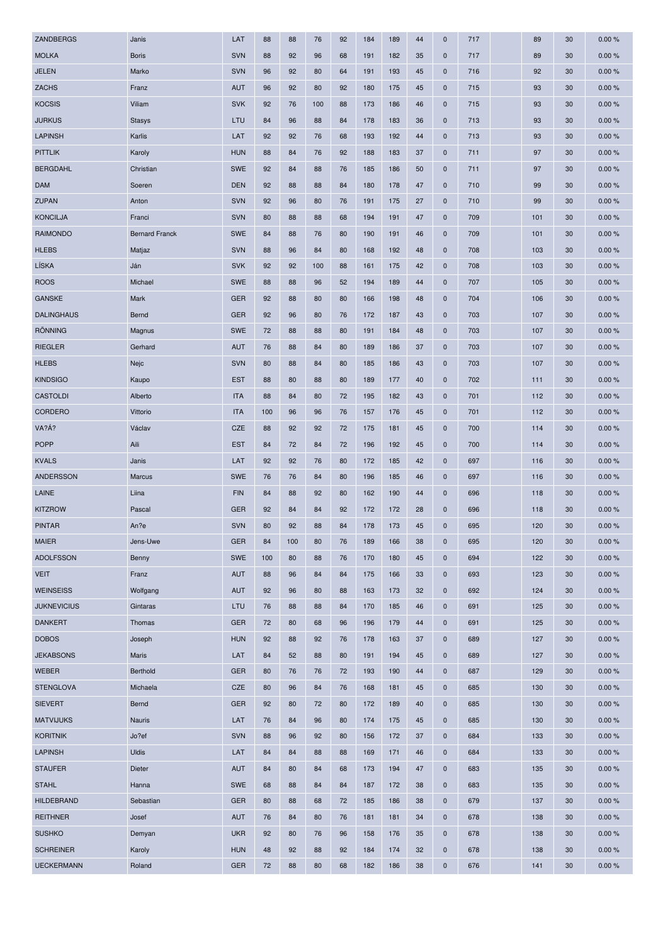| ZANDBERGS          | Janis                 | LAT        | 88  | 88  | 76  | 92 | 184 | 189 | 44 | $\mathbf 0$ | 717 | 89  | 30 | 0.00% |
|--------------------|-----------------------|------------|-----|-----|-----|----|-----|-----|----|-------------|-----|-----|----|-------|
| <b>MOLKA</b>       | <b>Boris</b>          | <b>SVN</b> | 88  | 92  | 96  | 68 | 191 | 182 | 35 | $\mathbf 0$ | 717 | 89  | 30 | 0.00% |
| <b>JELEN</b>       | Marko                 | <b>SVN</b> | 96  | 92  | 80  | 64 | 191 | 193 | 45 | $\mathbf 0$ | 716 | 92  | 30 | 0.00% |
| <b>ZACHS</b>       | Franz                 | <b>AUT</b> | 96  | 92  | 80  | 92 | 180 | 175 | 45 | $\mathbf 0$ | 715 | 93  | 30 | 0.00% |
| <b>KOCSIS</b>      | Viliam                | <b>SVK</b> | 92  | 76  | 100 | 88 | 173 | 186 | 46 | $\mathbf 0$ | 715 | 93  | 30 | 0.00% |
| <b>JURKUS</b>      | <b>Stasys</b>         | LTU        | 84  | 96  | 88  | 84 | 178 | 183 | 36 | $\mathbf 0$ | 713 | 93  | 30 | 0.00% |
| <b>LAPINSH</b>     | Karlis                | LAT        | 92  | 92  | 76  | 68 | 193 | 192 | 44 | $\mathbf 0$ | 713 | 93  | 30 | 0.00% |
| <b>PITTLIK</b>     | Karoly                | <b>HUN</b> | 88  | 84  | 76  | 92 | 188 | 183 | 37 | $\mathbf 0$ | 711 | 97  | 30 | 0.00% |
| <b>BERGDAHL</b>    | Christian             | <b>SWE</b> | 92  | 84  | 88  | 76 | 185 | 186 | 50 | $\mathbf 0$ | 711 | 97  | 30 | 0.00% |
| <b>DAM</b>         | Soeren                | <b>DEN</b> | 92  | 88  | 88  | 84 | 180 | 178 | 47 | $\mathbf 0$ | 710 | 99  | 30 | 0.00% |
| <b>ZUPAN</b>       | Anton                 | <b>SVN</b> | 92  | 96  | 80  | 76 | 191 | 175 | 27 | $\mathbf 0$ | 710 | 99  | 30 | 0.00% |
| <b>KONCILJA</b>    | Franci                | <b>SVN</b> | 80  | 88  | 88  | 68 | 194 | 191 | 47 | $\mathbf 0$ | 709 | 101 | 30 | 0.00% |
| <b>RAIMONDO</b>    | <b>Bernard Franck</b> | <b>SWE</b> | 84  | 88  | 76  | 80 | 190 | 191 | 46 | $\mathbf 0$ | 709 | 101 | 30 | 0.00% |
| <b>HLEBS</b>       | Matjaz                | <b>SVN</b> | 88  | 96  | 84  | 80 | 168 | 192 | 48 | $\mathbf 0$ | 708 | 103 | 30 | 0.00% |
| LÍSKA              | Ján                   | <b>SVK</b> | 92  | 92  | 100 | 88 | 161 | 175 | 42 | $\mathbf 0$ | 708 | 103 | 30 | 0.00% |
| <b>ROOS</b>        | Michael               | <b>SWE</b> | 88  | 88  | 96  | 52 | 194 | 189 | 44 | $\mathbf 0$ | 707 | 105 | 30 | 0.00% |
| <b>GANSKE</b>      | Mark                  | <b>GER</b> | 92  | 88  | 80  | 80 | 166 | 198 | 48 | $\mathbf 0$ | 704 | 106 | 30 | 0.00% |
| <b>DALINGHAUS</b>  | Bernd                 | <b>GER</b> | 92  | 96  | 80  | 76 | 172 | 187 | 43 | $\mathbf 0$ | 703 | 107 | 30 | 0.00% |
| <b>RÖNNING</b>     | Magnus                | <b>SWE</b> | 72  | 88  | 88  | 80 | 191 | 184 | 48 | $\mathbf 0$ | 703 | 107 | 30 | 0.00% |
| <b>RIEGLER</b>     | Gerhard               | <b>AUT</b> | 76  | 88  | 84  | 80 | 189 | 186 | 37 | $\mathbf 0$ | 703 | 107 | 30 | 0.00% |
| <b>HLEBS</b>       | Nejc                  | <b>SVN</b> | 80  | 88  | 84  | 80 | 185 | 186 | 43 | $\mathbf 0$ | 703 | 107 | 30 | 0.00% |
| <b>KINDSIGO</b>    | Kaupo                 | <b>EST</b> | 88  | 80  | 88  | 80 | 189 | 177 | 40 | $\mathbf 0$ | 702 | 111 | 30 | 0.00% |
| <b>CASTOLDI</b>    | Alberto               | <b>ITA</b> | 88  | 84  | 80  | 72 | 195 | 182 | 43 | $\mathbf 0$ | 701 | 112 | 30 | 0.00% |
| CORDERO            | Vittorio              | <b>ITA</b> | 100 | 96  | 96  | 76 | 157 | 176 | 45 | $\mathbf 0$ | 701 | 112 | 30 | 0.00% |
| VA?Á?              | Václav                | CZE        | 88  | 92  | 92  | 72 | 175 | 181 | 45 | $\mathbf 0$ | 700 | 114 | 30 | 0.00% |
| <b>POPP</b>        | Aili                  | <b>EST</b> | 84  | 72  | 84  | 72 | 196 | 192 | 45 | $\mathbf 0$ | 700 | 114 | 30 | 0.00% |
| <b>KVALS</b>       | Janis                 | LAT        | 92  | 92  | 76  | 80 | 172 | 185 | 42 | $\mathbf 0$ | 697 | 116 | 30 | 0.00% |
| ANDERSSON          | Marcus                | <b>SWE</b> | 76  | 76  | 84  | 80 | 196 | 185 | 46 | $\mathbf 0$ | 697 | 116 | 30 | 0.00% |
| LAINE              | Liina                 | <b>FIN</b> | 84  | 88  | 92  | 80 | 162 | 190 | 44 | $\mathbf 0$ | 696 | 118 | 30 | 0.00% |
| <b>KITZROW</b>     | Pascal                | <b>GER</b> | 92  | 84  | 84  | 92 | 172 | 172 | 28 | $\mathbf 0$ | 696 | 118 | 30 | 0.00% |
| <b>PINTAR</b>      | An?e                  | <b>SVN</b> | 80  | 92  | 88  | 84 | 178 | 173 | 45 | $\mathbf 0$ | 695 | 120 | 30 | 0.00% |
| <b>MAIER</b>       | Jens-Uwe              | <b>GER</b> | 84  | 100 | 80  | 76 | 189 | 166 | 38 | $\mathbf 0$ | 695 | 120 | 30 | 0.00% |
| <b>ADOLFSSON</b>   | Benny                 | <b>SWE</b> | 100 | 80  | 88  | 76 | 170 | 180 | 45 | $\mathbf 0$ | 694 | 122 | 30 | 0.00% |
| <b>VEIT</b>        | Franz                 | <b>AUT</b> | 88  | 96  | 84  | 84 | 175 | 166 | 33 | $\mathbf 0$ | 693 | 123 | 30 | 0.00% |
| <b>WEINSEISS</b>   | Wolfgang              | <b>AUT</b> | 92  | 96  | 80  | 88 | 163 | 173 | 32 | $\mathbf 0$ | 692 | 124 | 30 | 0.00% |
| <b>JUKNEVICIUS</b> | Gintaras              | LTU        | 76  | 88  | 88  | 84 | 170 | 185 | 46 | $\mathbf 0$ | 691 | 125 | 30 | 0.00% |
| <b>DANKERT</b>     | Thomas                | <b>GER</b> | 72  | 80  | 68  | 96 | 196 | 179 | 44 | $\mathbf 0$ | 691 | 125 | 30 | 0.00% |
| <b>DOBOS</b>       | Joseph                | <b>HUN</b> | 92  | 88  | 92  | 76 | 178 | 163 | 37 | $\mathbf 0$ | 689 | 127 | 30 | 0.00% |
| <b>JEKABSONS</b>   | Maris                 | LAT        | 84  | 52  | 88  | 80 | 191 | 194 | 45 | $\mathbf 0$ | 689 | 127 | 30 | 0.00% |
| <b>WEBER</b>       | Berthold              | <b>GER</b> | 80  | 76  | 76  | 72 | 193 | 190 | 44 | $\mathbf 0$ | 687 | 129 | 30 | 0.00% |
| <b>STENGLOVA</b>   | Michaela              | CZE        | 80  | 96  | 84  | 76 | 168 | 181 | 45 | $\mathbf 0$ | 685 | 130 | 30 | 0.00% |
| <b>SIEVERT</b>     | Bernd                 | <b>GER</b> | 92  | 80  | 72  | 80 | 172 | 189 | 40 | $\mathbf 0$ | 685 | 130 | 30 | 0.00% |
| <b>MATVIJUKS</b>   | Nauris                | LAT        | 76  | 84  | 96  | 80 | 174 | 175 | 45 | $\mathbf 0$ | 685 | 130 | 30 | 0.00% |
| <b>KORITNIK</b>    | Jo?ef                 | <b>SVN</b> | 88  | 96  | 92  | 80 | 156 | 172 | 37 | $\mathbf 0$ | 684 | 133 | 30 | 0.00% |
| <b>LAPINSH</b>     | <b>Uldis</b>          | LAT        | 84  | 84  | 88  | 88 | 169 | 171 | 46 | $\mathbf 0$ | 684 | 133 | 30 | 0.00% |
| <b>STAUFER</b>     | Dieter                | <b>AUT</b> | 84  | 80  | 84  | 68 | 173 | 194 | 47 | $\mathbf 0$ | 683 | 135 | 30 | 0.00% |
| <b>STAHL</b>       | Hanna                 | SWE        | 68  | 88  | 84  | 84 | 187 | 172 | 38 | $\mathbf 0$ | 683 | 135 | 30 | 0.00% |
| <b>HILDEBRAND</b>  | Sebastian             | <b>GER</b> | 80  | 88  | 68  | 72 | 185 | 186 | 38 | $\mathbf 0$ | 679 | 137 | 30 | 0.00% |
| <b>REITHNER</b>    | Josef                 | <b>AUT</b> | 76  | 84  | 80  | 76 | 181 | 181 | 34 | $\mathbf 0$ | 678 | 138 | 30 | 0.00% |
| <b>SUSHKO</b>      | Demyan                | <b>UKR</b> | 92  | 80  | 76  | 96 | 158 | 176 | 35 | $\mathbf 0$ | 678 | 138 | 30 | 0.00% |
| <b>SCHREINER</b>   | Karoly                | <b>HUN</b> | 48  | 92  | 88  | 92 | 184 | 174 | 32 | $\mathbf 0$ | 678 | 138 | 30 | 0.00% |
| <b>UECKERMANN</b>  | Roland                | <b>GER</b> | 72  | 88  | 80  | 68 | 182 | 186 | 38 | $\mathbf 0$ | 676 | 141 | 30 | 0.00% |
|                    |                       |            |     |     |     |    |     |     |    |             |     |     |    |       |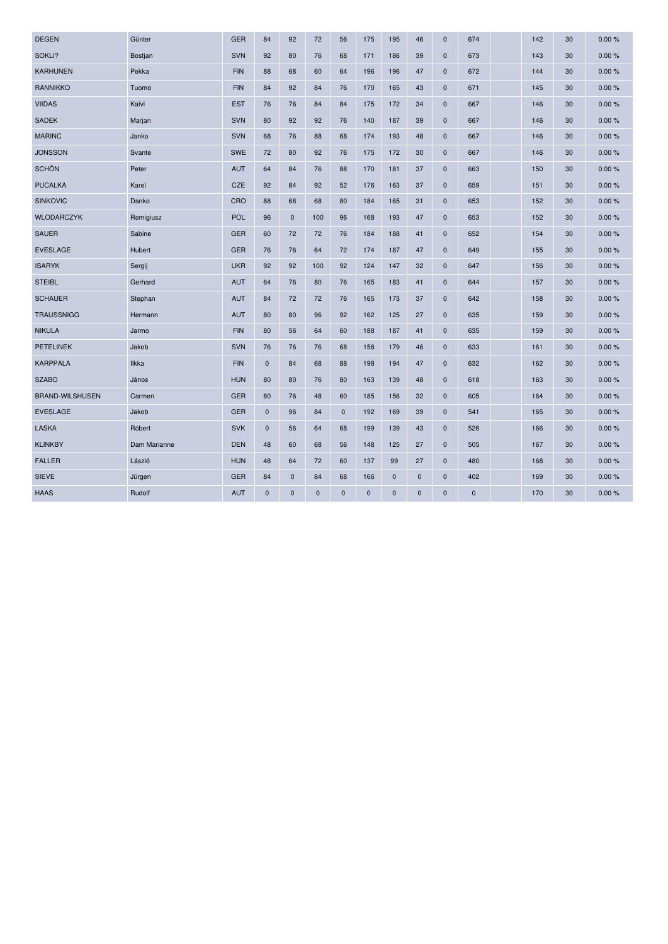| <b>DEGEN</b>           | Günter         | <b>GER</b> | 84          | 92           | 72          | 56          | 175         | 195          | 46          | $\mathbf 0$  | 674         | 142 | 30 | 0.00% |
|------------------------|----------------|------------|-------------|--------------|-------------|-------------|-------------|--------------|-------------|--------------|-------------|-----|----|-------|
| SOKLI?                 | <b>Bostjan</b> | <b>SVN</b> | 92          | 80           | 76          | 68          | 171         | 186          | 39          | $\mathbf 0$  | 673         | 143 | 30 | 0.00% |
| <b>KARHUNEN</b>        | Pekka          | <b>FIN</b> | 88          | 68           | 60          | 64          | 196         | 196          | 47          | $\mathbf 0$  | 672         | 144 | 30 | 0.00% |
| <b>RANNIKKO</b>        | Tuomo          | <b>FIN</b> | 84          | 92           | 84          | 76          | 170         | 165          | 43          | $\mathbf 0$  | 671         | 145 | 30 | 0.00% |
| <b>VIIDAS</b>          | Kalvi          | <b>EST</b> | 76          | 76           | 84          | 84          | 175         | 172          | 34          | $\mathbf 0$  | 667         | 146 | 30 | 0.00% |
| <b>SADEK</b>           | Marjan         | <b>SVN</b> | 80          | 92           | 92          | 76          | 140         | 187          | 39          | $\mathbf 0$  | 667         | 146 | 30 | 0.00% |
| <b>MARINC</b>          | Janko          | <b>SVN</b> | 68          | 76           | 88          | 68          | 174         | 193          | 48          | $\mathbf 0$  | 667         | 146 | 30 | 0.00% |
| <b>JONSSON</b>         | Svante         | <b>SWE</b> | 72          | 80           | 92          | 76          | 175         | 172          | 30          | $\mathbf 0$  | 667         | 146 | 30 | 0.00% |
| <b>SCHÖN</b>           | Peter          | <b>AUT</b> | 64          | 84           | 76          | 88          | 170         | 181          | 37          | $\mathbf 0$  | 663         | 150 | 30 | 0.00% |
| <b>PUCALKA</b>         | Karel          | <b>CZE</b> | 92          | 84           | 92          | 52          | 176         | 163          | 37          | $\mathbf 0$  | 659         | 151 | 30 | 0.00% |
| <b>SINKOVIC</b>        | Danko          | CRO        | 88          | 68           | 68          | 80          | 184         | 165          | 31          | $\mathbf 0$  | 653         | 152 | 30 | 0.00% |
| <b>WLODARCZYK</b>      | Remigiusz      | POL        | 96          | $\mathbf 0$  | 100         | 96          | 168         | 193          | 47          | $\mathbf 0$  | 653         | 152 | 30 | 0.00% |
| <b>SAUER</b>           | Sabine         | <b>GER</b> | 60          | 72           | 72          | 76          | 184         | 188          | 41          | $\mathbf 0$  | 652         | 154 | 30 | 0.00% |
| <b>EVESLAGE</b>        | Hubert         | <b>GER</b> | 76          | 76           | 64          | 72          | 174         | 187          | 47          | $\mathbf 0$  | 649         | 155 | 30 | 0.00% |
| <b>ISARYK</b>          | Sergij         | <b>UKR</b> | 92          | 92           | 100         | 92          | 124         | 147          | 32          | $\mathbf 0$  | 647         | 156 | 30 | 0.00% |
| <b>STEIBL</b>          | Gerhard        | <b>AUT</b> | 64          | 76           | 80          | 76          | 165         | 183          | 41          | $\mathbf{0}$ | 644         | 157 | 30 | 0.00% |
| <b>SCHAUER</b>         | Stephan        | <b>AUT</b> | 84          | 72           | 72          | 76          | 165         | 173          | 37          | $\pmb{0}$    | 642         | 158 | 30 | 0.00% |
| <b>TRAUSSNIGG</b>      | Hermann        | <b>AUT</b> | 80          | 80           | 96          | 92          | 162         | 125          | 27          | $\mathbf 0$  | 635         | 159 | 30 | 0.00% |
| <b>NIKULA</b>          | Jarmo          | <b>FIN</b> | 80          | 56           | 64          | 60          | 188         | 187          | 41          | $\mathbf 0$  | 635         | 159 | 30 | 0.00% |
| <b>PETELINEK</b>       | Jakob          | <b>SVN</b> | 76          | 76           | 76          | 68          | 158         | 179          | 46          | $\mathbf 0$  | 633         | 161 | 30 | 0.00% |
| <b>KARPPALA</b>        | <b>Ilkka</b>   | <b>FIN</b> | $\mathbf 0$ | 84           | 68          | 88          | 198         | 194          | 47          | $\mathbf 0$  | 632         | 162 | 30 | 0.00% |
| <b>SZABO</b>           | János          | <b>HUN</b> | 80          | 80           | 76          | 80          | 163         | 139          | 48          | $\mathbf 0$  | 618         | 163 | 30 | 0.00% |
| <b>BRAND-WILSHUSEN</b> | Carmen         | <b>GER</b> | 80          | 76           | 48          | 60          | 185         | 156          | 32          | $\mathbf 0$  | 605         | 164 | 30 | 0.00% |
| <b>EVESLAGE</b>        | Jakob          | <b>GER</b> | $\mathbf 0$ | 96           | 84          | $\mathbf 0$ | 192         | 169          | 39          | $\mathbf 0$  | 541         | 165 | 30 | 0.00% |
| <b>LASKA</b>           | Róbert         | <b>SVK</b> | $\mathbf 0$ | 56           | 64          | 68          | 199         | 139          | 43          | $\mathbf 0$  | 526         | 166 | 30 | 0.00% |
| <b>KLINKBY</b>         | Dam Marianne   | <b>DEN</b> | 48          | 60           | 68          | 56          | 148         | 125          | 27          | $\mathbf 0$  | 505         | 167 | 30 | 0.00% |
| <b>FALLER</b>          | László         | <b>HUN</b> | 48          | 64           | 72          | 60          | 137         | 99           | 27          | $\mathbf 0$  | 480         | 168 | 30 | 0.00% |
| <b>SIEVE</b>           | Jürgen         | <b>GER</b> | 84          | $\mathbf{0}$ | 84          | 68          | 166         | $\mathbf{0}$ | $\mathbf 0$ | $\mathbf{0}$ | 402         | 169 | 30 | 0.00% |
| <b>HAAS</b>            | Rudolf         | <b>AUT</b> | $\mathbf 0$ | $\mathbf 0$  | $\mathbf 0$ | $\mathbf 0$ | $\mathbf 0$ | 0            | $\pmb{0}$   | $\mathbf 0$  | $\mathbf 0$ | 170 | 30 | 0.00% |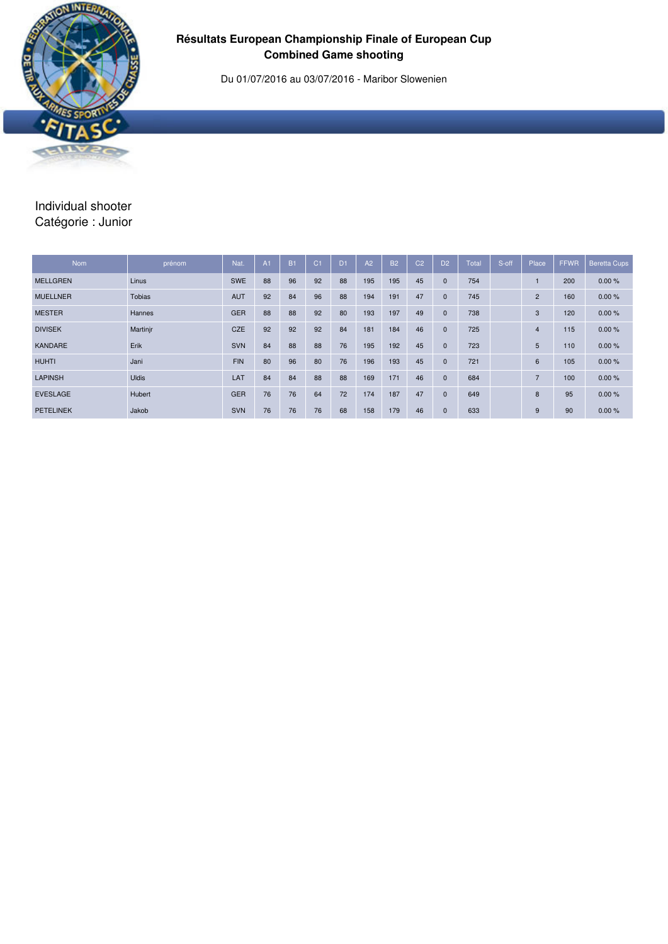

## **Résultats European Championship Finale of European Cup Combined Game shooting**

Du 01/07/2016 au 03/07/2016 - Maribor Slowenien

# Individual shooter Catégorie : Junior

| <b>Nom</b>       | prénom        | Nat.       | A <sub>1</sub> | <b>B1</b> | C <sub>1</sub> | D <sub>1</sub> | A2  | <b>B2</b> | C <sub>2</sub> | D <sub>2</sub> | <b>Total</b> | S-off | Place          | <b>FFWR</b> | <b>Beretta Cups</b> |
|------------------|---------------|------------|----------------|-----------|----------------|----------------|-----|-----------|----------------|----------------|--------------|-------|----------------|-------------|---------------------|
| <b>MELLGREN</b>  | Linus         | <b>SWE</b> | 88             | 96        | 92             | 88             | 195 | 195       | 45             | $\mathbf{0}$   | 754          |       |                | 200         | 0.00%               |
| <b>MUELLNER</b>  | <b>Tobias</b> | <b>AUT</b> | 92             | 84        | 96             | 88             | 194 | 191       | 47             | $\mathbf{0}$   | 745          |       | $\overline{2}$ | 160         | 0.00%               |
| <b>MESTER</b>    | <b>Hannes</b> | <b>GER</b> | 88             | 88        | 92             | 80             | 193 | 197       | 49             | $\mathbf{0}$   | 738          |       | 3              | 120         | 0.00%               |
| <b>DIVISEK</b>   | Martinjr      | CZE        | 92             | 92        | 92             | 84             | 181 | 184       | 46             | $\mathbf{0}$   | 725          |       | 4              | 115         | 0.00%               |
| <b>KANDARE</b>   | Erik          | <b>SVN</b> | 84             | 88        | 88             | 76             | 195 | 192       | 45             | $\mathbf{0}$   | 723          |       | 5              | 110         | 0.00%               |
| <b>HUHTI</b>     | Jani          | <b>FIN</b> | 80             | 96        | 80             | 76             | 196 | 193       | 45             | $\mathbf{0}$   | 721          |       | 6              | 105         | 0.00%               |
| <b>LAPINSH</b>   | <b>Uldis</b>  | LAT        | 84             | 84        | 88             | 88             | 169 | 171       | 46             | $\mathbf{0}$   | 684          |       | $\overline{ }$ | 100         | 0.00%               |
| <b>EVESLAGE</b>  | Hubert        | <b>GER</b> | 76             | 76        | 64             | 72             | 174 | 187       | 47             | $\mathbf{0}$   | 649          |       | 8              | 95          | 0.00%               |
| <b>PETELINEK</b> | Jakob         | <b>SVN</b> | 76             | 76        | 76             | 68             | 158 | 179       | 46             | $\mathbf{0}$   | 633          |       | 9              | 90          | 0.00%               |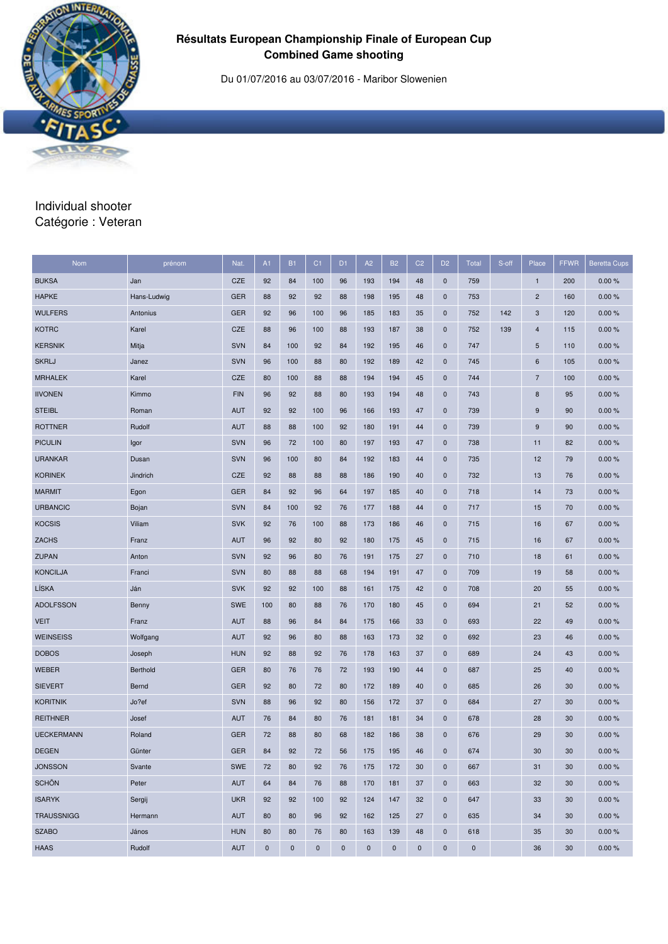

## **Résultats European Championship Finale of European Cup Combined Game shooting**

Du 01/07/2016 au 03/07/2016 - Maribor Slowenien

#### Individual shooter Catégorie : Veteran

| <b>Nom</b>        | prénom      | Nat.       | A1          | <b>B1</b>   | C <sub>1</sub> | D <sub>1</sub> | A2        | <b>B2</b> | C <sub>2</sub> | D <sub>2</sub> | <b>Total</b> | S-off | Place           | <b>FFWR</b> | <b>Beretta Cups</b> |
|-------------------|-------------|------------|-------------|-------------|----------------|----------------|-----------|-----------|----------------|----------------|--------------|-------|-----------------|-------------|---------------------|
| <b>BUKSA</b>      | Jan         | <b>CZE</b> | 92          | 84          | 100            | 96             | 193       | 194       | 48             | $\mathbf 0$    | 759          |       | $\mathbf{1}$    | 200         | 0.00%               |
| <b>HAPKE</b>      | Hans-Ludwig | <b>GER</b> | 88          | 92          | 92             | 88             | 198       | 195       | 48             | $\mathbf 0$    | 753          |       | $\overline{2}$  | 160         | 0.00%               |
| <b>WULFERS</b>    | Antonius    | <b>GER</b> | 92          | 96          | 100            | 96             | 185       | 183       | 35             | $\mathbf 0$    | 752          | 142   | 3               | 120         | 0.00%               |
| <b>KOTRC</b>      | Karel       | <b>CZE</b> | 88          | 96          | 100            | 88             | 193       | 187       | 38             | $\mathbf 0$    | 752          | 139   | 4               | 115         | 0.00%               |
| <b>KERSNIK</b>    | Mitja       | <b>SVN</b> | 84          | 100         | 92             | 84             | 192       | 195       | 46             | $\pmb{0}$      | 747          |       | 5               | 110         | 0.00%               |
| <b>SKRLJ</b>      | Janez       | <b>SVN</b> | 96          | 100         | 88             | 80             | 192       | 189       | 42             | $\mathbf 0$    | 745          |       | $6\phantom{1}6$ | 105         | 0.00%               |
| <b>MRHALEK</b>    | Karel       | <b>CZE</b> | 80          | 100         | 88             | 88             | 194       | 194       | 45             | $\mathbf 0$    | 744          |       | $\overline{7}$  | 100         | 0.00%               |
| <b>IIVONEN</b>    | Kimmo       | <b>FIN</b> | 96          | 92          | 88             | 80             | 193       | 194       | 48             | $\pmb{0}$      | 743          |       | $\bf8$          | 95          | 0.00%               |
| <b>STEIBL</b>     | Roman       | <b>AUT</b> | 92          | 92          | 100            | 96             | 166       | 193       | 47             | $\mathbf 0$    | 739          |       | 9               | 90          | 0.00%               |
| <b>ROTTNER</b>    | Rudolf      | <b>AUT</b> | 88          | 88          | 100            | 92             | 180       | 191       | 44             | $\mathbf 0$    | 739          |       | 9               | 90          | 0.00%               |
| <b>PICULIN</b>    | Igor        | <b>SVN</b> | 96          | 72          | 100            | 80             | 197       | 193       | 47             | $\mathbf 0$    | 738          |       | 11              | 82          | 0.00%               |
| <b>URANKAR</b>    | Dusan       | <b>SVN</b> | 96          | 100         | 80             | 84             | 192       | 183       | 44             | $\mathbf 0$    | 735          |       | 12              | 79          | 0.00%               |
| <b>KORINEK</b>    | Jindrich    | <b>CZE</b> | 92          | 88          | 88             | 88             | 186       | 190       | 40             | $\mathbf 0$    | 732          |       | 13              | 76          | 0.00%               |
| <b>MARMIT</b>     | Egon        | <b>GER</b> | 84          | 92          | 96             | 64             | 197       | 185       | 40             | $\mathbf 0$    | 718          |       | 14              | 73          | 0.00%               |
| <b>URBANCIC</b>   | Bojan       | <b>SVN</b> | 84          | 100         | 92             | 76             | 177       | 188       | 44             | $\mathbf 0$    | 717          |       | 15              | 70          | 0.00%               |
| <b>KOCSIS</b>     | Viliam      | <b>SVK</b> | 92          | 76          | 100            | 88             | 173       | 186       | 46             | $\mathbf 0$    | 715          |       | 16              | 67          | 0.00%               |
| <b>ZACHS</b>      | Franz       | <b>AUT</b> | 96          | 92          | 80             | 92             | 180       | 175       | 45             | $\mathbf 0$    | 715          |       | 16              | 67          | 0.00%               |
| <b>ZUPAN</b>      | Anton       | <b>SVN</b> | 92          | 96          | 80             | 76             | 191       | 175       | 27             | $\mathbf 0$    | 710          |       | 18              | 61          | 0.00%               |
| <b>KONCILJA</b>   | Franci      | <b>SVN</b> | 80          | 88          | 88             | 68             | 194       | 191       | 47             | $\pmb{0}$      | 709          |       | 19              | 58          | 0.00%               |
| LÍSKA             | Ján         | <b>SVK</b> | 92          | 92          | 100            | 88             | 161       | 175       | 42             | $\mathbf 0$    | 708          |       | 20              | 55          | 0.00%               |
| <b>ADOLFSSON</b>  | Benny       | <b>SWE</b> | 100         | 80          | 88             | 76             | 170       | 180       | 45             | $\mathbf 0$    | 694          |       | 21              | 52          | 0.00%               |
| <b>VEIT</b>       | Franz       | <b>AUT</b> | 88          | 96          | 84             | 84             | 175       | 166       | 33             | $\pmb{0}$      | 693          |       | 22              | 49          | 0.00%               |
| <b>WEINSEISS</b>  | Wolfgang    | <b>AUT</b> | 92          | 96          | 80             | 88             | 163       | 173       | 32             | $\mathbf 0$    | 692          |       | 23              | 46          | 0.00%               |
| <b>DOBOS</b>      | Joseph      | <b>HUN</b> | 92          | 88          | 92             | 76             | 178       | 163       | 37             | $\mathbf 0$    | 689          |       | 24              | 43          | 0.00%               |
| <b>WEBER</b>      | Berthold    | <b>GER</b> | 80          | 76          | 76             | 72             | 193       | 190       | 44             | $\pmb{0}$      | 687          |       | 25              | 40          | 0.00%               |
| <b>SIEVERT</b>    | Bernd       | <b>GER</b> | 92          | 80          | 72             | 80             | 172       | 189       | 40             | $\mathbf 0$    | 685          |       | 26              | 30          | 0.00%               |
| <b>KORITNIK</b>   | Jo?ef       | <b>SVN</b> | 88          | 96          | 92             | 80             | 156       | 172       | 37             | $\mathbf 0$    | 684          |       | 27              | 30          | 0.00%               |
| <b>REITHNER</b>   | Josef       | <b>AUT</b> | 76          | 84          | 80             | 76             | 181       | 181       | 34             | $\mathbf 0$    | 678          |       | 28              | 30          | 0.00%               |
| <b>UECKERMANN</b> | Roland      | <b>GER</b> | 72          | 88          | 80             | 68             | 182       | 186       | 38             | $\mathbf 0$    | 676          |       | 29              | 30          | 0.00%               |
| <b>DEGEN</b>      | Günter      | <b>GER</b> | 84          | 92          | 72             | 56             | 175       | 195       | 46             | $\pmb{0}$      | 674          |       | 30              | 30          | 0.00%               |
| <b>JONSSON</b>    | Svante      | SWE        | 72          | 80          | 92             | 76             | 175       | 172       | 30             | $\mathbf 0$    | 667          |       | 31              | 30          | 0.00%               |
| <b>SCHÖN</b>      | Peter       | AUT        | 64          | 84          | 76             | 88             | 170       | 181       | 37             | $\mathbf 0$    | 663          |       | 32              | 30          | 0.00%               |
| <b>ISARYK</b>     | Sergij      | <b>UKR</b> | 92          | 92          | 100            | 92             | 124       | 147       | 32             | $\mathbf 0$    | 647          |       | 33              | 30          | 0.00%               |
| <b>TRAUSSNIGG</b> | Hermann     | <b>AUT</b> | 80          | 80          | 96             | 92             | 162       | 125       | 27             | $\mathbf 0$    | 635          |       | 34              | 30          | 0.00%               |
| <b>SZABO</b>      | János       | <b>HUN</b> | 80          | 80          | 76             | 80             | 163       | 139       | 48             | $\mathbf 0$    | 618          |       | 35              | 30          | 0.00%               |
| <b>HAAS</b>       | Rudolf      | <b>AUT</b> | $\mathbf 0$ | $\mathbf 0$ | $\pmb{0}$      | $\pmb{0}$      | $\pmb{0}$ | $\pmb{0}$ | $\pmb{0}$      | $\pmb{0}$      | $\mathbf 0$  |       | 36              | 30          | 0.00%               |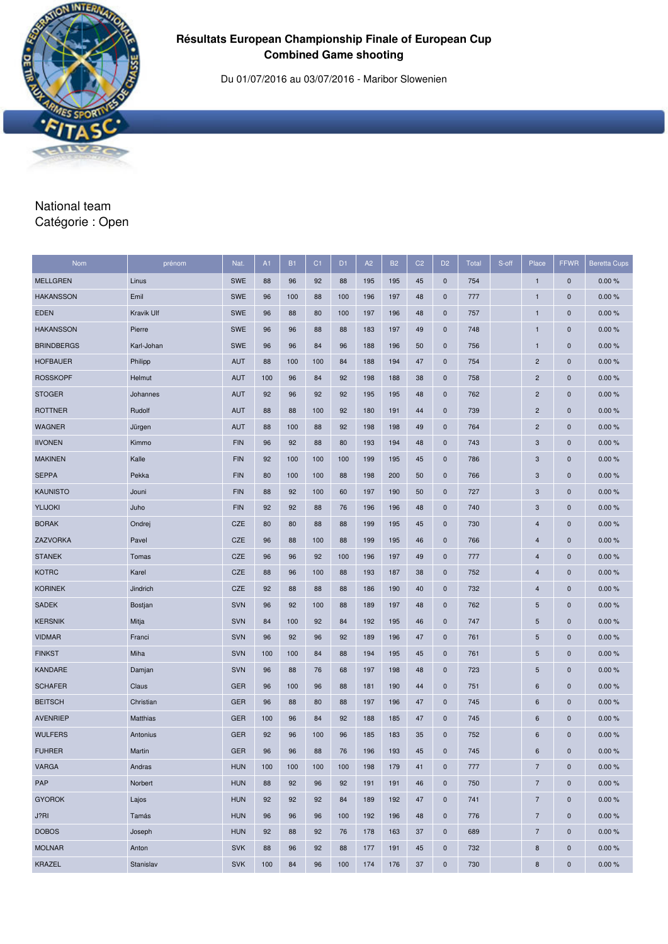

## **Résultats European Championship Finale of European Cup Combined Game shooting**

Du 01/07/2016 au 03/07/2016 - Maribor Slowenien

#### National team Catégorie : Open

| Nom               | prénom     | Nat.       | A1  | <b>B1</b> | C <sub>1</sub> | D <sub>1</sub> | A2  | <b>B2</b> | C <sub>2</sub> | D <sub>2</sub> | Total | S-off | Place                    | <b>FFWR</b>  | <b>Beretta Cups</b> |
|-------------------|------------|------------|-----|-----------|----------------|----------------|-----|-----------|----------------|----------------|-------|-------|--------------------------|--------------|---------------------|
| <b>MELLGREN</b>   | Linus      | <b>SWE</b> | 88  | 96        | 92             | 88             | 195 | 195       | 45             | $\mathbf 0$    | 754   |       | $\mathbf{1}$             | $\pmb{0}$    | 0.00%               |
| <b>HAKANSSON</b>  | Emil       | <b>SWE</b> | 96  | 100       | 88             | 100            | 196 | 197       | 48             | $\mathbf 0$    | 777   |       | $\mathbf{1}$             | $\mathbf 0$  | 0.00%               |
| <b>EDEN</b>       | Kravik Ulf | <b>SWE</b> | 96  | 88        | 80             | 100            | 197 | 196       | 48             | $\mathbf 0$    | 757   |       | 1                        | $\mathbf 0$  | 0.00%               |
| <b>HAKANSSON</b>  | Pierre     | <b>SWE</b> | 96  | 96        | 88             | 88             | 183 | 197       | 49             | $\mathbf 0$    | 748   |       | $\mathbf{1}$             | $\pmb{0}$    | 0.00%               |
| <b>BRINDBERGS</b> | Karl-Johan | <b>SWE</b> | 96  | 96        | 84             | 96             | 188 | 196       | 50             | $\mathbf 0$    | 756   |       | 1                        | $\pmb{0}$    | 0.00%               |
| <b>HOFBAUER</b>   | Philipp    | <b>AUT</b> | 88  | 100       | 100            | 84             | 188 | 194       | 47             | $\mathbf 0$    | 754   |       | $\overline{c}$           | $\mathbf 0$  | 0.00%               |
| <b>ROSSKOPF</b>   | Helmut     | <b>AUT</b> | 100 | 96        | 84             | 92             | 198 | 188       | 38             | $\mathbf 0$    | 758   |       | $\overline{2}$           | $\mathbf 0$  | 0.00%               |
| <b>STOGER</b>     | Johannes   | <b>AUT</b> | 92  | 96        | 92             | 92             | 195 | 195       | 48             | $\mathbf 0$    | 762   |       | $\overline{2}$           | $\mathbf 0$  | 0.00%               |
| <b>ROTTNER</b>    | Rudolf     | <b>AUT</b> | 88  | 88        | 100            | 92             | 180 | 191       | 44             | $\mathbf 0$    | 739   |       | $\overline{c}$           | $\pmb{0}$    | 0.00%               |
| <b>WAGNER</b>     | Jürgen     | <b>AUT</b> | 88  | 100       | 88             | 92             | 198 | 198       | 49             | $\mathbf 0$    | 764   |       | $\overline{2}$           | $\mathbf{0}$ | 0.00%               |
| <b>IIVONEN</b>    | Kimmo      | <b>FIN</b> | 96  | 92        | 88             | 80             | 193 | 194       | 48             | $\mathbf 0$    | 743   |       | 3                        | $\mathbf 0$  | 0.00%               |
| <b>MAKINEN</b>    | Kalle      | <b>FIN</b> | 92  | 100       | 100            | 100            | 199 | 195       | 45             | $\mathbf 0$    | 786   |       | 3                        | $\pmb{0}$    | 0.00%               |
| <b>SEPPA</b>      | Pekka      | <b>FIN</b> | 80  | 100       | 100            | 88             | 198 | 200       | 50             | $\mathbf 0$    | 766   |       | 3                        | $\mathbf 0$  | 0.00%               |
| <b>KAUNISTO</b>   | Jouni      | <b>FIN</b> | 88  | 92        | 100            | 60             | 197 | 190       | 50             | $\mathbf 0$    | 727   |       | 3                        | $\pmb{0}$    | 0.00%               |
| <b>YLIJOKI</b>    | Juho       | <b>FIN</b> | 92  | 92        | 88             | 76             | 196 | 196       | 48             | $\mathbf 0$    | 740   |       | 3                        | $\pmb{0}$    | 0.00%               |
| <b>BORAK</b>      | Ondrej     | CZE        | 80  | 80        | 88             | 88             | 199 | 195       | 45             | $\mathbf 0$    | 730   |       | 4                        | $\mathbf 0$  | 0.00%               |
| ZAZVORKA          | Pavel      | CZE        | 96  | 88        | 100            | 88             | 199 | 195       | 46             | $\mathbf 0$    | 766   |       | $\overline{4}$           | $\pmb{0}$    | 0.00%               |
| <b>STANEK</b>     | Tomas      | <b>CZE</b> | 96  | 96        | 92             | 100            | 196 | 197       | 49             | $\mathbf 0$    | 777   |       | 4                        | $\mathbf 0$  | 0.00%               |
| <b>KOTRC</b>      | Karel      | CZE        | 88  | 96        | 100            | 88             | 193 | 187       | 38             | $\mathbf 0$    | 752   |       | $\overline{4}$           | $\mathbf 0$  | 0.00%               |
| <b>KORINEK</b>    | Jindrich   | CZE        | 92  | 88        | 88             | 88             | 186 | 190       | 40             | $\mathbf 0$    | 732   |       | $\overline{4}$           | $\pmb{0}$    | 0.00%               |
| <b>SADEK</b>      | Bostjan    | <b>SVN</b> | 96  | 92        | 100            | 88             | 189 | 197       | 48             | $\mathbf 0$    | 762   |       | 5                        | $\mathbf 0$  | 0.00%               |
| <b>KERSNIK</b>    | Mitja      | <b>SVN</b> | 84  | 100       | 92             | 84             | 192 | 195       | 46             | $\mathbf 0$    | 747   |       | $\sqrt{5}$               | $\mathbf 0$  | 0.00%               |
| <b>VIDMAR</b>     | Franci     | <b>SVN</b> | 96  | 92        | 96             | 92             | 189 | 196       | 47             | $\mathbf 0$    | 761   |       | 5                        | $\mathbf 0$  | 0.00%               |
| <b>FINKST</b>     | Miha       | <b>SVN</b> | 100 | 100       | 84             | 88             | 194 | 195       | 45             | $\mathbf 0$    | 761   |       | 5                        | $\mathbf 0$  | 0.00%               |
| <b>KANDARE</b>    | Damjan     | <b>SVN</b> | 96  | 88        | 76             | 68             | 197 | 198       | 48             | $\mathbf 0$    | 723   |       | 5                        | $\mathbf 0$  | 0.00%               |
| <b>SCHAFER</b>    | Claus      | <b>GER</b> | 96  | 100       | 96             | 88             | 181 | 190       | 44             | $\mathbf 0$    | 751   |       | 6                        | $\pmb{0}$    | 0.00%               |
| <b>BEITSCH</b>    | Christian  | <b>GER</b> | 96  | 88        | 80             | 88             | 197 | 196       | 47             | $\mathbf 0$    | 745   |       | 6                        | $\mathbf 0$  | 0.00%               |
| <b>AVENRIEP</b>   | Matthias   | <b>GER</b> | 100 | 96        | 84             | 92             | 188 | 185       | 47             | $\mathbf 0$    | 745   |       | $6\phantom{1}6$          | $\mathbf 0$  | 0.00%               |
| <b>WULFERS</b>    | Antonius   | <b>GER</b> | 92  | 96        | 100            | 96             | 185 | 183       | 35             | $\mathbf 0$    | 752   |       | 6                        | $\mathbf 0$  | 0.00%               |
| <b>FUHRER</b>     | Martin     | <b>GER</b> | 96  | 96        | 88             | 76             | 196 | 193       | 45             | $\mathbf{0}$   | 745   |       | 6                        | $\mathbf{0}$ | 0.00%               |
| <b>VARGA</b>      | Andras     | <b>HUN</b> | 100 | 100       | 100            | 100            | 198 | 179       | 41             | $\mathbf 0$    | 777   |       | $\overline{7}$           | $\pmb{0}$    | 0.00%               |
| PAP               | Norbert    | <b>HUN</b> | 88  | 92        | 96             | 92             | 191 | 191       | 46             | $\mathbf 0$    | 750   |       | $\overline{\mathcal{I}}$ | $\pmb{0}$    | 0.00%               |
| <b>GYOROK</b>     | Lajos      | <b>HUN</b> | 92  | 92        | 92             | 84             | 189 | 192       | 47             | $\mathbf 0$    | 741   |       | $\overline{7}$           | $\pmb{0}$    | 0.00%               |
| J?RI              | Tamás      | <b>HUN</b> | 96  | 96        | 96             | 100            | 192 | 196       | 48             | $\mathbf 0$    | 776   |       | $\overline{7}$           | $\mathbf 0$  | 0.00%               |
| <b>DOBOS</b>      | Joseph     | <b>HUN</b> | 92  | 88        | 92             | 76             | 178 | 163       | 37             | $\mathbf 0$    | 689   |       | $\overline{7}$           | $\pmb{0}$    | 0.00%               |
| <b>MOLNAR</b>     | Anton      | <b>SVK</b> | 88  | 96        | 92             | 88             | 177 | 191       | 45             | $\mathbf 0$    | 732   |       | 8                        | $\mathbf 0$  | 0.00%               |
| KRAZEL            | Stanislav  | <b>SVK</b> | 100 | 84        | 96             | 100            | 174 | 176       | 37             | $\mathbf 0$    | 730   |       | 8                        | $\mathbf 0$  | 0.00%               |